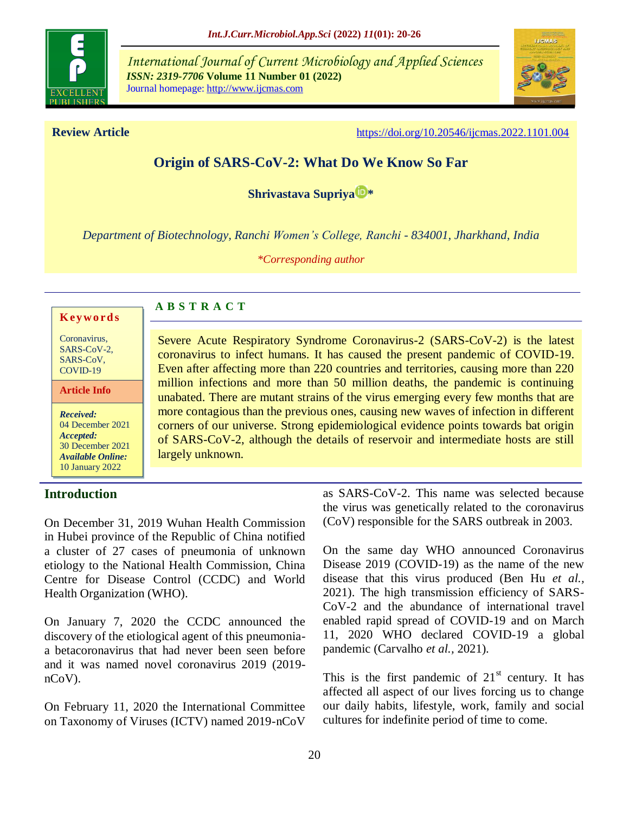

*International Journal of Current Microbiology and Applied Sciences ISSN: 2319-7706* **Volume 11 Number 01 (2022)**  Journal homepage: http://www.ijcmas.com



**Review Article** <https://doi.org/10.20546/ijcmas.2022.1101.004>

# **Origin of SARS-CoV-2: What Do We Know So Far**

**[Shrivastava Supriya](https://orcid.org/0000-0002-2814-671X) [\\*](https://orcid.org/0000-0002-2814-671X)**

*Department of Biotechnology, Ranchi Women's College, Ranchi - 834001, Jharkhand, India*

*\*Corresponding author*

Severe Acute Respiratory Syndrome Coronavirus-2 (SARS-CoV-2) is the latest coronavirus to infect humans. It has caused the present pandemic of COVID-19. Even after affecting more than 220 countries and territories, causing more than 220 million infections and more than 50 million deaths, the pandemic is continuing unabated. There are mutant strains of the virus emerging every few months that are more contagious than the previous ones, causing new waves of infection in different corners of our universe. Strong epidemiological evidence points towards bat origin of SARS-CoV-2, although the details of reservoir and intermediate hosts are still

#### **K ey w o rd s**

| Coronavirus, |
|--------------|
| SARS-CoV-2.  |
| SARS-CoV.    |
| COVID-19     |

**Article Info**

*Received:*  04 December 2021 *Accepted:*  30 December 2021 *Available Online:* 10 January 2022

#### **Introduction**

On December 31, 2019 Wuhan Health Commission in Hubei province of the Republic of China notified a cluster of 27 cases of pneumonia of unknown etiology to the National Health Commission, China Centre for Disease Control (CCDC) and World Health Organization (WHO).

**A B S T R A C T**

largely unknown.

On January 7, 2020 the CCDC announced the discovery of the etiological agent of this pneumoniaa betacoronavirus that had never been seen before and it was named novel coronavirus 2019 (2019 nCoV).

On February 11, 2020 the International Committee on Taxonomy of Viruses (ICTV) named 2019-nCoV as SARS-CoV-2. This name was selected because the virus was genetically related to the coronavirus (CoV) responsible for the SARS outbreak in 2003.

On the same day WHO announced Coronavirus Disease 2019 (COVID-19) as the name of the new disease that this virus produced (Ben Hu *et al.,* 2021). The high transmission efficiency of SARS-CoV-2 and the abundance of international travel enabled rapid spread of COVID-19 and on March 11, 2020 WHO declared COVID-19 a global pandemic (Carvalho *et al.,* 2021).

This is the first pandemic of  $21<sup>st</sup>$  century. It has affected all aspect of our lives forcing us to change our daily habits, lifestyle, work, family and social cultures for indefinite period of time to come.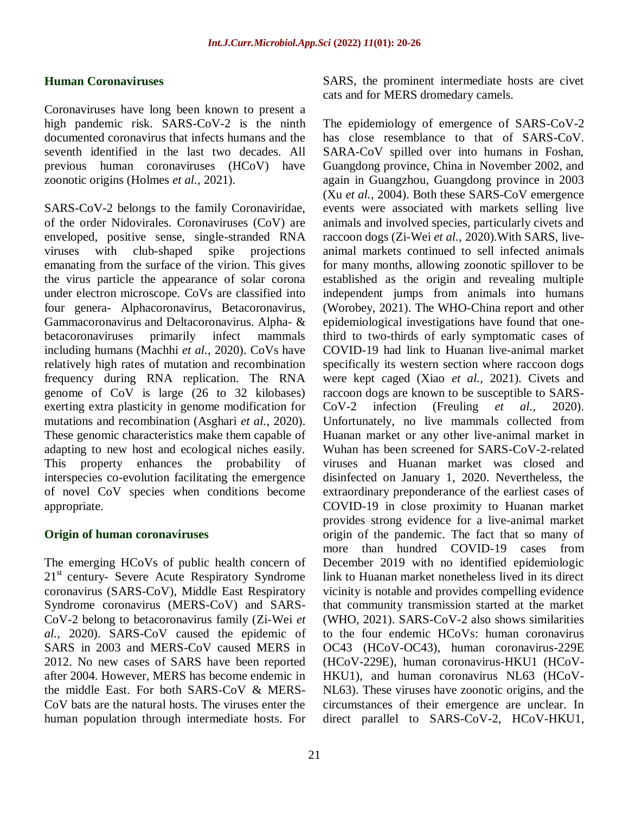#### **Human Coronaviruses**

Coronaviruses have long been known to present a high pandemic risk. SARS-CoV-2 is the ninth documented coronavirus that infects humans and the seventh identified in the last two decades. All previous human coronaviruses (HCoV) have zoonotic origins (Holmes *et al.,* 2021).

SARS-CoV-2 belongs to the family Coronaviridae, of the order Nidovirales. Coronaviruses (CoV) are enveloped, positive sense, single-stranded RNA viruses with club-shaped spike projections emanating from the surface of the virion. This gives the virus particle the appearance of solar corona under electron microscope. CoVs are classified into four genera- Alphacoronavirus, Betacoronavirus, Gammacoronavirus and Deltacoronavirus. Alpha- & betacoronaviruses primarily infect mammals including humans (Machhi *et al.,* 2020). CoVs have relatively high rates of mutation and recombination frequency during RNA replication. The RNA genome of CoV is large (26 to 32 kilobases) exerting extra plasticity in genome modification for mutations and recombination (Asghari *et al.,* 2020). These genomic characteristics make them capable of adapting to new host and ecological niches easily. This property enhances the probability of interspecies co-evolution facilitating the emergence of novel CoV species when conditions become appropriate.

#### **Origin of human coronaviruses**

The emerging HCoVs of public health concern of  $21<sup>st</sup>$  century- Severe Acute Respiratory Syndrome coronavirus (SARS-CoV), Middle East Respiratory Syndrome coronavirus (MERS-CoV) and SARS-CoV-2 belong to betacoronavirus family (Zi-Wei *et al.,* 2020). SARS-CoV caused the epidemic of SARS in 2003 and MERS-CoV caused MERS in 2012. No new cases of SARS have been reported after 2004. However, MERS has become endemic in the middle East. For both SARS-CoV & MERS-CoV bats are the natural hosts. The viruses enter the human population through intermediate hosts. For

SARS, the prominent intermediate hosts are civet cats and for MERS dromedary camels.

The epidemiology of emergence of SARS-CoV-2 has close resemblance to that of SARS-CoV. SARA-CoV spilled over into humans in Foshan, Guangdong province, China in November 2002, and again in Guangzhou, Guangdong province in 2003 (Xu *et al.,* 2004). Both these SARS-CoV emergence events were associated with markets selling live animals and involved species, particularly civets and raccoon dogs (Zi-Wei *et al.,* 2020).With SARS, liveanimal markets continued to sell infected animals for many months, allowing zoonotic spillover to be established as the origin and revealing multiple independent jumps from animals into humans (Worobey, 2021). The WHO-China report and other epidemiological investigations have found that onethird to two-thirds of early symptomatic cases of COVID-19 had link to Huanan live-animal market specifically its western section where raccoon dogs were kept caged (Xiao *et al.,* 2021). Civets and raccoon dogs are known to be susceptible to SARS-CoV-2 infection (Freuling *et al.,* 2020). Unfortunately, no live mammals collected from Huanan market or any other live-animal market in Wuhan has been screened for SARS-CoV-2-related viruses and Huanan market was closed and disinfected on January 1, 2020. Nevertheless, the extraordinary preponderance of the earliest cases of COVID-19 in close proximity to Huanan market provides strong evidence for a live-animal market origin of the pandemic. The fact that so many of more than hundred COVID-19 cases from December 2019 with no identified epidemiologic link to Huanan market nonetheless lived in its direct vicinity is notable and provides compelling evidence that community transmission started at the market (WHO, 2021). SARS-CoV-2 also shows similarities to the four endemic HCoVs: human coronavirus OC43 (HCoV-OC43), human coronavirus-229E (HCoV-229E), human coronavirus-HKU1 (HCoV-HKU1), and human coronavirus NL63 (HCoV-NL63). These viruses have zoonotic origins, and the circumstances of their emergence are unclear. In direct parallel to SARS-CoV-2, HCoV-HKU1,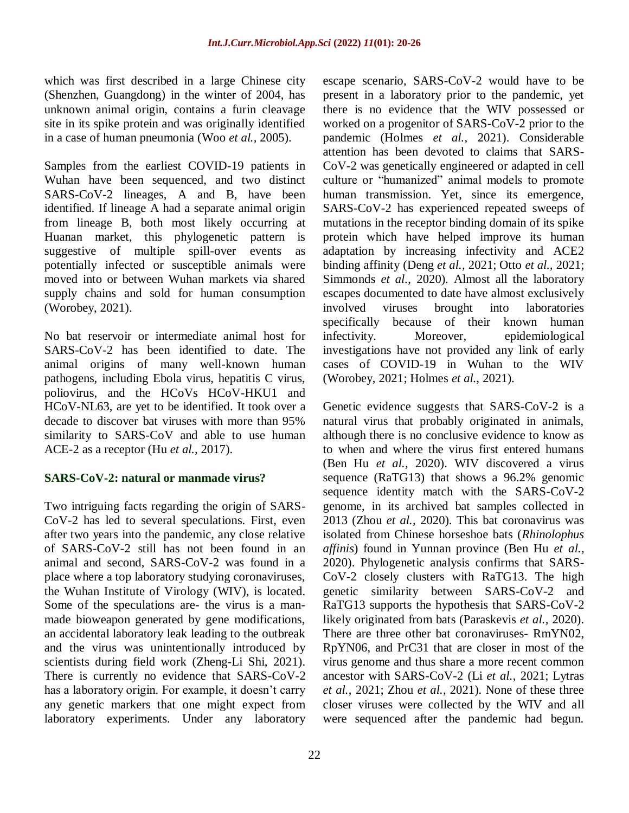which was first described in a large Chinese city (Shenzhen, Guangdong) in the winter of 2004, has unknown animal origin, contains a furin cleavage site in its spike protein and was originally identified in a case of human pneumonia (Woo *et al.,* 2005).

Samples from the earliest COVID-19 patients in Wuhan have been sequenced, and two distinct SARS-CoV-2 lineages, A and B, have been identified. If lineage A had a separate animal origin from lineage B, both most likely occurring at Huanan market, this phylogenetic pattern is suggestive of multiple spill-over events as potentially infected or susceptible animals were moved into or between Wuhan markets via shared supply chains and sold for human consumption (Worobey, 2021).

No bat reservoir or intermediate animal host for SARS-CoV-2 has been identified to date. The animal origins of many well-known human pathogens, including Ebola virus, hepatitis C virus, poliovirus, and the HCoVs HCoV-HKU1 and HCoV-NL63, are yet to be identified. It took over a decade to discover bat viruses with more than 95% similarity to SARS-CoV and able to use human ACE-2 as a receptor (Hu *et al.,* 2017).

## **SARS-CoV-2: natural or manmade virus?**

Two intriguing facts regarding the origin of SARS-CoV-2 has led to several speculations. First, even after two years into the pandemic, any close relative of SARS-CoV-2 still has not been found in an animal and second, SARS-CoV-2 was found in a place where a top laboratory studying coronaviruses, the Wuhan Institute of Virology (WIV), is located. Some of the speculations are- the virus is a manmade bioweapon generated by gene modifications, an accidental laboratory leak leading to the outbreak and the virus was unintentionally introduced by scientists during field work (Zheng-Li Shi, 2021). There is currently no evidence that SARS-CoV-2 has a laboratory origin. For example, it doesn't carry any genetic markers that one might expect from laboratory experiments. Under any laboratory

escape scenario, SARS-CoV-2 would have to be present in a laboratory prior to the pandemic, yet there is no evidence that the WIV possessed or worked on a progenitor of SARS-CoV-2 prior to the pandemic (Holmes *et al.,* 2021). Considerable attention has been devoted to claims that SARS-CoV-2 was genetically engineered or adapted in cell culture or "humanized" animal models to promote human transmission. Yet, since its emergence, SARS-CoV-2 has experienced repeated sweeps of mutations in the receptor binding domain of its spike protein which have helped improve its human adaptation by increasing infectivity and ACE2 binding affinity (Deng *et al.,* 2021; Otto *et al.,* 2021; Simmonds *et al.,* 2020). Almost all the laboratory escapes documented to date have almost exclusively involved viruses brought into laboratories specifically because of their known human infectivity. Moreover, epidemiological investigations have not provided any link of early cases of COVID-19 in Wuhan to the WIV (Worobey, 2021; Holmes *et al.,* 2021).

Genetic evidence suggests that SARS-CoV-2 is a natural virus that probably originated in animals, although there is no conclusive evidence to know as to when and where the virus first entered humans (Ben Hu *et al.,* 2020). WIV discovered a virus sequence (RaTG13) that shows a 96.2% genomic sequence identity match with the SARS-CoV-2 genome, in its archived bat samples collected in 2013 (Zhou *et al.,* 2020). This bat coronavirus was isolated from Chinese horseshoe bats (*Rhinolophus affinis*) found in Yunnan province (Ben Hu *et al.,* 2020). Phylogenetic analysis confirms that SARS-CoV-2 closely clusters with RaTG13. The high genetic similarity between SARS-CoV-2 and RaTG13 supports the hypothesis that SARS-CoV-2 likely originated from bats (Paraskevis *et al.,* 2020). There are three other bat coronaviruses- RmYN02, RpYN06, and PrC31 that are closer in most of the virus genome and thus share a more recent common ancestor with SARS-CoV-2 (Li *et al.,* 2021; Lytras *et al.,* 2021; Zhou *et al.,* 2021). None of these three closer viruses were collected by the WIV and all were sequenced after the pandemic had begun.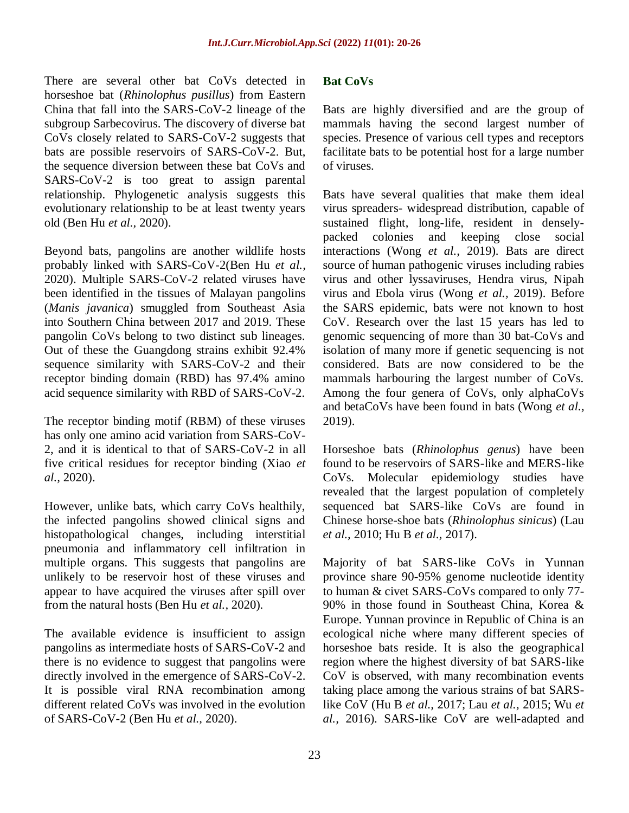There are several other bat CoVs detected in horseshoe bat (*Rhinolophus pusillus*) from Eastern China that fall into the SARS-CoV-2 lineage of the subgroup Sarbecovirus. The discovery of diverse bat CoVs closely related to SARS-CoV-2 suggests that bats are possible reservoirs of SARS-CoV-2. But, the sequence diversion between these bat CoVs and SARS-CoV-2 is too great to assign parental relationship. Phylogenetic analysis suggests this evolutionary relationship to be at least twenty years old (Ben Hu *et al.,* 2020).

Beyond bats, pangolins are another wildlife hosts probably linked with SARS-CoV-2(Ben Hu *et al.,* 2020). Multiple SARS-CoV-2 related viruses have been identified in the tissues of Malayan pangolins (*Manis javanica*) smuggled from Southeast Asia into Southern China between 2017 and 2019. These pangolin CoVs belong to two distinct sub lineages. Out of these the Guangdong strains exhibit 92.4% sequence similarity with SARS-CoV-2 and their receptor binding domain (RBD) has 97.4% amino acid sequence similarity with RBD of SARS-CoV-2.

The receptor binding motif (RBM) of these viruses has only one amino acid variation from SARS-CoV-2, and it is identical to that of SARS-CoV-2 in all five critical residues for receptor binding (Xiao *et al.,* 2020).

However, unlike bats, which carry CoVs healthily, the infected pangolins showed clinical signs and histopathological changes, including interstitial pneumonia and inflammatory cell infiltration in multiple organs. This suggests that pangolins are unlikely to be reservoir host of these viruses and appear to have acquired the viruses after spill over from the natural hosts (Ben Hu *et al.,* 2020).

The available evidence is insufficient to assign pangolins as intermediate hosts of SARS-CoV-2 and there is no evidence to suggest that pangolins were directly involved in the emergence of SARS-CoV-2. It is possible viral RNA recombination among different related CoVs was involved in the evolution of SARS-CoV-2 (Ben Hu *et al.,* 2020).

#### **Bat CoVs**

Bats are highly diversified and are the group of mammals having the second largest number of species. Presence of various cell types and receptors facilitate bats to be potential host for a large number of viruses.

Bats have several qualities that make them ideal virus spreaders- widespread distribution, capable of sustained flight, long-life, resident in denselypacked colonies and keeping close social interactions (Wong *et al.,* 2019). Bats are direct source of human pathogenic viruses including rabies virus and other lyssaviruses, Hendra virus, Nipah virus and Ebola virus (Wong *et al.,* 2019). Before the SARS epidemic, bats were not known to host CoV. Research over the last 15 years has led to genomic sequencing of more than 30 bat-CoVs and isolation of many more if genetic sequencing is not considered. Bats are now considered to be the mammals harbouring the largest number of CoVs. Among the four genera of CoVs, only alphaCoVs and betaCoVs have been found in bats (Wong *et al.,* 2019).

Horseshoe bats (*Rhinolophus genus*) have been found to be reservoirs of SARS-like and MERS-like CoVs. Molecular epidemiology studies have revealed that the largest population of completely sequenced bat SARS-like CoVs are found in Chinese horse-shoe bats (*Rhinolophus sinicus*) (Lau *et al.,* 2010; Hu B *et al.,* 2017).

Majority of bat SARS-like CoVs in Yunnan province share 90-95% genome nucleotide identity to human & civet SARS-CoVs compared to only 77- 90% in those found in Southeast China, Korea & Europe. Yunnan province in Republic of China is an ecological niche where many different species of horseshoe bats reside. It is also the geographical region where the highest diversity of bat SARS-like CoV is observed, with many recombination events taking place among the various strains of bat SARSlike CoV (Hu B *et al.,* 2017; Lau *et al.,* 2015; Wu *et al.,* 2016). SARS-like CoV are well-adapted and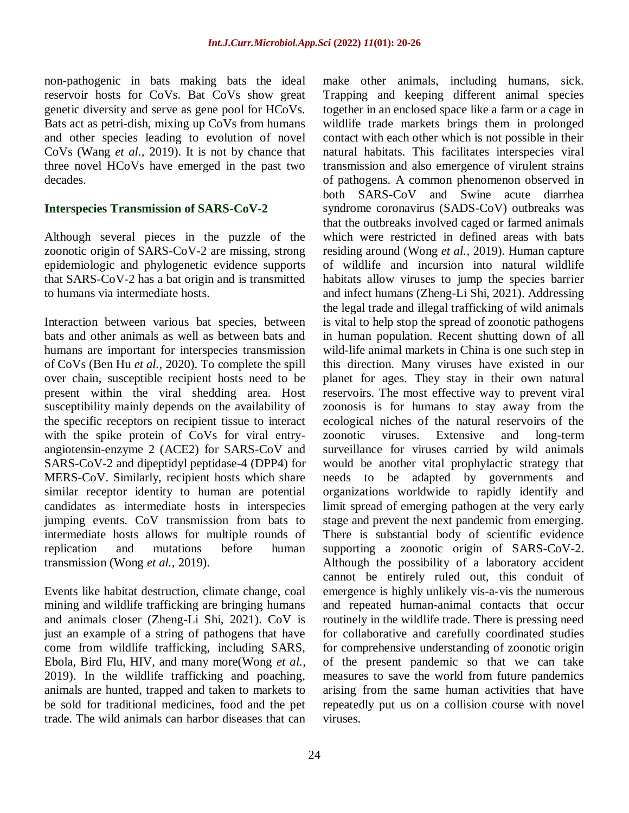non-pathogenic in bats making bats the ideal reservoir hosts for CoVs. Bat CoVs show great genetic diversity and serve as gene pool for HCoVs. Bats act as petri-dish, mixing up CoVs from humans and other species leading to evolution of novel CoVs (Wang *et al.,* 2019). It is not by chance that three novel HCoVs have emerged in the past two decades.

#### **Interspecies Transmission of SARS-CoV-2**

Although several pieces in the puzzle of the zoonotic origin of SARS-CoV-2 are missing, strong epidemiologic and phylogenetic evidence supports that SARS-CoV-2 has a bat origin and is transmitted to humans via intermediate hosts.

Interaction between various bat species, between bats and other animals as well as between bats and humans are important for interspecies transmission of CoVs (Ben Hu *et al.,* 2020). To complete the spill over chain, susceptible recipient hosts need to be present within the viral shedding area. Host susceptibility mainly depends on the availability of the specific receptors on recipient tissue to interact with the spike protein of CoVs for viral entryangiotensin-enzyme 2 (ACE2) for SARS-CoV and SARS-CoV-2 and dipeptidyl peptidase-4 (DPP4) for MERS-CoV. Similarly, recipient hosts which share similar receptor identity to human are potential candidates as intermediate hosts in interspecies jumping events. CoV transmission from bats to intermediate hosts allows for multiple rounds of replication and mutations before human transmission (Wong *et al.,* 2019).

Events like habitat destruction, climate change, coal mining and wildlife trafficking are bringing humans and animals closer (Zheng-Li Shi, 2021). CoV is just an example of a string of pathogens that have come from wildlife trafficking, including SARS, Ebola, Bird Flu, HIV, and many more(Wong *et al.,* 2019). In the wildlife trafficking and poaching, animals are hunted, trapped and taken to markets to be sold for traditional medicines, food and the pet trade. The wild animals can harbor diseases that can make other animals, including humans, sick. Trapping and keeping different animal species together in an enclosed space like a farm or a cage in wildlife trade markets brings them in prolonged contact with each other which is not possible in their natural habitats. This facilitates interspecies viral transmission and also emergence of virulent strains of pathogens. A common phenomenon observed in both SARS-CoV and Swine acute diarrhea syndrome coronavirus (SADS-CoV) outbreaks was that the outbreaks involved caged or farmed animals which were restricted in defined areas with bats residing around (Wong *et al.,* 2019). Human capture of wildlife and incursion into natural wildlife habitats allow viruses to jump the species barrier and infect humans (Zheng-Li Shi, 2021). Addressing the legal trade and illegal trafficking of wild animals is vital to help stop the spread of zoonotic pathogens in human population. Recent shutting down of all wild-life animal markets in China is one such step in this direction. Many viruses have existed in our planet for ages. They stay in their own natural reservoirs. The most effective way to prevent viral zoonosis is for humans to stay away from the ecological niches of the natural reservoirs of the zoonotic viruses. Extensive and long-term surveillance for viruses carried by wild animals would be another vital prophylactic strategy that needs to be adapted by governments and organizations worldwide to rapidly identify and limit spread of emerging pathogen at the very early stage and prevent the next pandemic from emerging. There is substantial body of scientific evidence supporting a zoonotic origin of SARS-CoV-2. Although the possibility of a laboratory accident cannot be entirely ruled out, this conduit of emergence is highly unlikely vis-a-vis the numerous and repeated human-animal contacts that occur routinely in the wildlife trade. There is pressing need for collaborative and carefully coordinated studies for comprehensive understanding of zoonotic origin of the present pandemic so that we can take measures to save the world from future pandemics arising from the same human activities that have repeatedly put us on a collision course with novel viruses.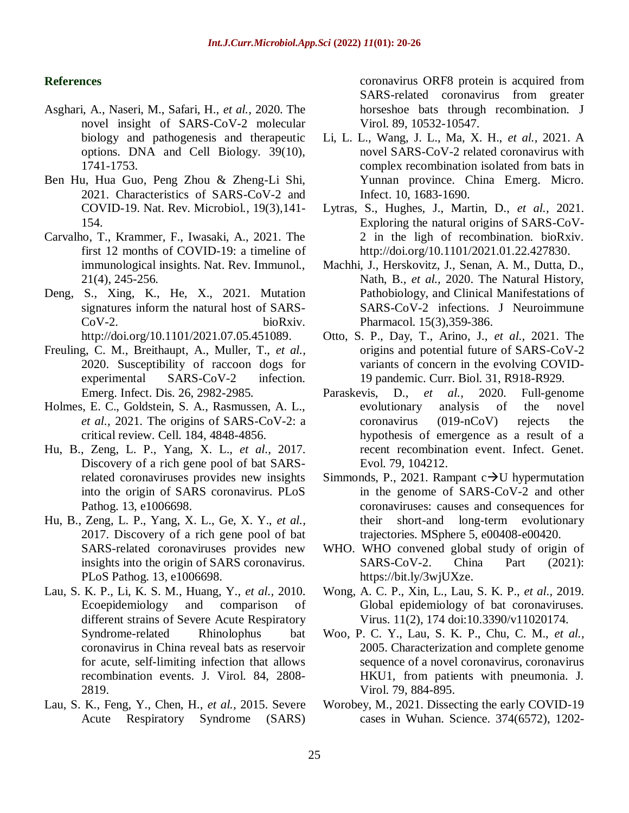### **References**

- Asghari, A., Naseri, M., Safari, H., *et al.,* 2020. The novel insight of SARS-CoV-2 molecular biology and pathogenesis and therapeutic options. DNA and Cell Biology. 39(10), 1741-1753.
- Ben Hu, Hua Guo, Peng Zhou & Zheng-Li Shi, 2021. Characteristics of SARS-CoV-2 and COVID-19. Nat. Rev. Microbiol*.*, 19(3),141- 154.
- Carvalho, T., Krammer, F., Iwasaki, A., 2021. The first 12 months of COVID-19: a timeline of immunological insights. Nat. Rev. Immunol., 21(4), 245-256.
- Deng, S., Xing, K., He, X., 2021. Mutation signatures inform the natural host of SARS-CoV-2. bioRxiv. [http://doi.org/10.1101/2021.07.05.451089.](http://doi.org/10.1101/2021.07.05.451089)
- Freuling, C. M., Breithaupt, A., Muller, T., *et al.,* 2020. Susceptibility of raccoon dogs for experimental SARS-CoV-2 infection. Emerg. Infect. Dis. 26, 2982-2985.
- Holmes, E. C., Goldstein, S. A., Rasmussen, A. L., *et al.,* 2021. The origins of SARS-CoV-2: a critical review. Cell. 184, 4848-4856.
- Hu, B., Zeng, L. P., Yang, X. L., *et al.,* 2017. Discovery of a rich gene pool of bat SARSrelated coronaviruses provides new insights into the origin of SARS coronavirus. PLoS Pathog. 13, e1006698.
- Hu, B., Zeng, L. P., Yang, X. L., Ge, X. Y., *et al.,* 2017. Discovery of a rich gene pool of bat SARS-related coronaviruses provides new insights into the origin of SARS coronavirus. PLoS Pathog. 13, e1006698.
- Lau, S. K. P., Li, K. S. M., Huang, Y., *et al.,* 2010. Ecoepidemiology and comparison of different strains of Severe Acute Respiratory Syndrome-related Rhinolophus bat coronavirus in China reveal bats as reservoir for acute, self-limiting infection that allows recombination events. J. Virol. 84, 2808- 2819.
- Lau, S. K., Feng, Y., Chen, H., *et al.,* 2015. Severe Acute Respiratory Syndrome (SARS)

coronavirus ORF8 protein is acquired from SARS-related coronavirus from greater horseshoe bats through recombination. J Virol. 89, 10532-10547.

- Li, L. L., Wang, J. L., Ma, X. H., *et al.,* 2021. A novel SARS-CoV-2 related coronavirus with complex recombination isolated from bats in Yunnan province. China Emerg. Micro. Infect. 10, 1683-1690.
- Lytras, S., Hughes, J., Martin, D., *et al.,* 2021. Exploring the natural origins of SARS-CoV-2 in the ligh of recombination. bioRxiv. [http://doi.org/10.1101/2021.01.22.427830.](http://doi.org/10.1101/2021.01.22.427830)
- Machhi, J., Herskovitz, J., Senan, A. M., Dutta, D., Nath, B., *et al.,* 2020. The Natural History, Pathobiology, and Clinical Manifestations of SARS-CoV-2 infections. J Neuroimmune Pharmacol. 15(3),359-386.
- Otto, S. P., Day, T., Arino, J., *et al.,* 2021. The origins and potential future of SARS-CoV-2 variants of concern in the evolving COVID-19 pandemic. Curr. Biol. 31, R918-R929.
- Paraskevis, D., *et al.,* 2020. Full-genome evolutionary analysis of the novel coronavirus (019-nCoV) rejects the hypothesis of emergence as a result of a recent recombination event. Infect. Genet. Evol. 79, 104212.
- Simmonds, P., 2021. Rampant  $c \rightarrow U$  hypermutation in the genome of SARS-CoV-2 and other coronaviruses: causes and consequences for their short-and long-term evolutionary trajectories. MSphere 5, e00408-e00420.
- WHO. WHO convened global study of origin of SARS-CoV-2. China Part (2021): [https://bit.ly/3wjUXze.](https://bit.ly/3wjUXze)
- Wong, A. C. P., Xin, L., Lau, S. K. P., *et al.,* 2019. Global epidemiology of bat coronaviruses. Virus. 11(2), 174 doi:10.3390/v11020174.
- Woo, P. C. Y., Lau, S. K. P., Chu, C. M., *et al.,* 2005. Characterization and complete genome sequence of a novel coronavirus, coronavirus HKU1, from patients with pneumonia. J. Virol. 79, 884-895.
- Worobey, M., 2021. Dissecting the early COVID-19 cases in Wuhan. Science. 374(6572), 1202-